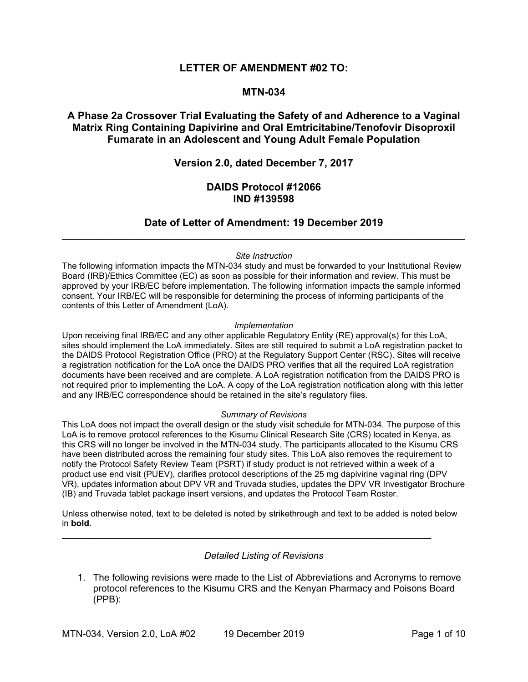# **LETTER OF AMENDMENT #02 TO:**

# **MTN-034**

# **A Phase 2a Crossover Trial Evaluating the Safety of and Adherence to a Vaginal Matrix Ring Containing Dapivirine and Oral Emtricitabine/Tenofovir Disoproxil Fumarate in an Adolescent and Young Adult Female Population**

# **Version 2.0, dated December 7, 2017**

# **DAIDS Protocol #12066 IND #139598**

# **Date of Letter of Amendment: 19 December 2019** \_\_\_\_\_\_\_\_\_\_\_\_\_\_\_\_\_\_\_\_\_\_\_\_\_\_\_\_\_\_\_\_\_\_\_\_\_\_\_\_\_\_\_\_\_\_\_\_\_\_\_\_\_\_\_\_\_\_\_\_\_\_\_\_\_\_\_\_\_\_

#### *Site Instruction*

The following information impacts the MTN-034 study and must be forwarded to your Institutional Review Board (IRB)/Ethics Committee (EC) as soon as possible for their information and review. This must be approved by your IRB/EC before implementation. The following information impacts the sample informed consent. Your IRB/EC will be responsible for determining the process of informing participants of the contents of this Letter of Amendment (LoA).

#### *Implementation*

Upon receiving final IRB/EC and any other applicable Regulatory Entity (RE) approval(s) for this LoA, sites should implement the LoA immediately. Sites are still required to submit a LoA registration packet to the DAIDS Protocol Registration Office (PRO) at the Regulatory Support Center (RSC). Sites will receive a registration notification for the LoA once the DAIDS PRO verifies that all the required LoA registration documents have been received and are complete. A LoA registration notification from the DAIDS PRO is not required prior to implementing the LoA. A copy of the LoA registration notification along with this letter and any IRB/EC correspondence should be retained in the site's regulatory files.

#### *Summary of Revisions*

This LoA does not impact the overall design or the study visit schedule for MTN-034. The purpose of this LoA is to remove protocol references to the Kisumu Clinical Research Site (CRS) located in Kenya, as this CRS will no longer be involved in the MTN-034 study. The participants allocated to the Kisumu CRS have been distributed across the remaining four study sites. This LoA also removes the requirement to notify the Protocol Safety Review Team (PSRT) if study product is not retrieved within a week of a product use end visit (PUEV), clarifies protocol descriptions of the 25 mg dapivirine vaginal ring (DPV VR), updates information about DPV VR and Truvada studies, updates the DPV VR Investigator Brochure (IB) and Truvada tablet package insert versions, and updates the Protocol Team Roster.

Unless otherwise noted, text to be deleted is noted by strikethrough and text to be added is noted below in **bold**.

\_\_\_\_\_\_\_\_\_\_\_\_\_\_\_\_\_\_\_\_\_\_\_\_\_\_\_\_\_\_\_\_\_\_\_\_\_\_\_\_\_\_\_\_\_\_\_\_\_\_\_\_\_\_\_\_\_\_\_\_\_\_\_\_\_\_\_\_\_\_

### *Detailed Listing of Revisions*

1. The following revisions were made to the List of Abbreviations and Acronyms to remove protocol references to the Kisumu CRS and the Kenyan Pharmacy and Poisons Board (PPB):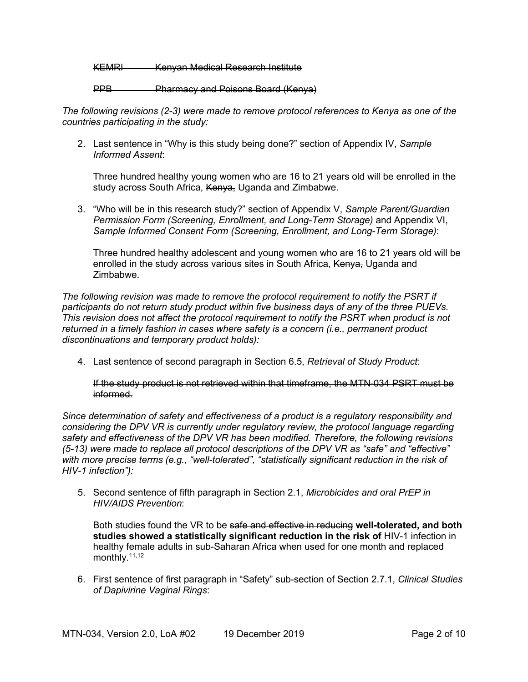KEMRI Kenyan Medical Research Institute

PPB Pharmacy and Poisons Board (Kenya)

*The following revisions (2-3) were made to remove protocol references to Kenya as one of the countries participating in the study:*

2. Last sentence in "Why is this study being done?" section of Appendix IV, *Sample Informed Assent*:

Three hundred healthy young women who are 16 to 21 years old will be enrolled in the study across South Africa, Kenya, Uganda and Zimbabwe.

3. "Who will be in this research study?" section of Appendix V, *Sample Parent/Guardian Permission Form (Screening, Enrollment, and Long-Term Storage)* and Appendix VI, *Sample Informed Consent Form (Screening, Enrollment, and Long-Term Storage)*:

Three hundred healthy adolescent and young women who are 16 to 21 years old will be enrolled in the study across various sites in South Africa, Kenya, Uganda and Zimbabwe.

*The following revision was made to remove the protocol requirement to notify the PSRT if participants do not return study product within five business days of any of the three PUEVs. This revision does not affect the protocol requirement to notify the PSRT when product is not returned in a timely fashion in cases where safety is a concern (i.e., permanent product discontinuations and temporary product holds):* 

4. Last sentence of second paragraph in Section 6.5, *Retrieval of Study Product*:

If the study product is not retrieved within that timeframe, the MTN-034 PSRT must be informed.

*Since determination of safety and effectiveness of a product is a regulatory responsibility and considering the DPV VR is currently under regulatory review, the protocol language regarding safety and effectiveness of the DPV VR has been modified. Therefore, the following revisions (5-13) were made to replace all protocol descriptions of the DPV VR as "safe" and "effective" with more precise terms (e.g., "well-tolerated", "statistically significant reduction in the risk of HIV-1 infection"):*

5. Second sentence of fifth paragraph in Section 2.1, *Microbicides and oral PrEP in HIV/AIDS Prevention*:

Both studies found the VR to be safe and effective in reducing **well-tolerated, and both studies showed a statistically significant reduction in the risk of** HIV-1 infection in healthy female adults in sub-Saharan Africa when used for one month and replaced monthly.11,12

6. First sentence of first paragraph in "Safety" sub-section of Section 2.7.1, *Clinical Studies of Dapivirine Vaginal Rings*: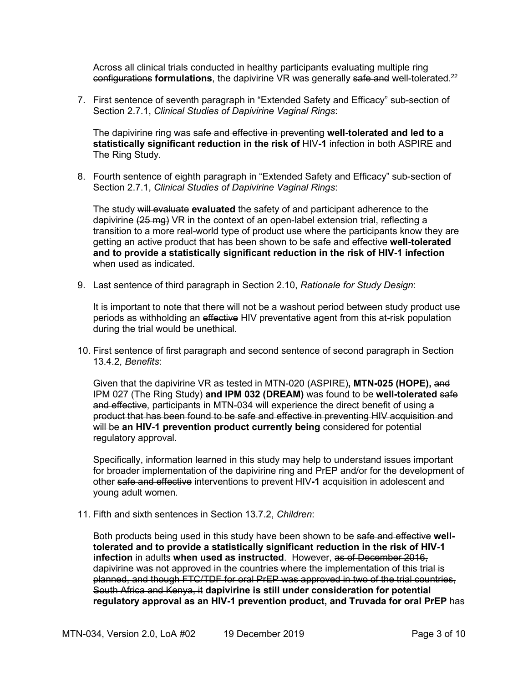Across all clinical trials conducted in healthy participants evaluating multiple ring configurations **formulations**, the dapivirine VR was generally safe and well-tolerated.22

7. First sentence of seventh paragraph in "Extended Safety and Efficacy" sub-section of Section 2.7.1, *Clinical Studies of Dapivirine Vaginal Rings*:

The dapivirine ring was safe and effective in preventing **well-tolerated and led to a statistically significant reduction in the risk of** HIV**-1** infection in both ASPIRE and The Ring Study.

8. Fourth sentence of eighth paragraph in "Extended Safety and Efficacy" sub-section of Section 2.7.1, *Clinical Studies of Dapivirine Vaginal Rings*:

The study will evaluate **evaluated** the safety of and participant adherence to the dapivirine (25 mg) VR in the context of an open-label extension trial, reflecting a transition to a more real-world type of product use where the participants know they are getting an active product that has been shown to be safe and effective **well-tolerated and to provide a statistically significant reduction in the risk of HIV-1 infection** when used as indicated.

9. Last sentence of third paragraph in Section 2.10, *Rationale for Study Design*:

It is important to note that there will not be a washout period between study product use periods as withholding an effective HIV preventative agent from this at**-**risk population during the trial would be unethical.

10. First sentence of first paragraph and second sentence of second paragraph in Section 13.4.2, *Benefits*:

Given that the dapivirine VR as tested in MTN-020 (ASPIRE)**, MTN-025 (HOPE),** and IPM 027 (The Ring Study) **and IPM 032 (DREAM)** was found to be **well-tolerated** safe and effective, participants in MTN-034 will experience the direct benefit of using a product that has been found to be safe and effective in preventing HIV acquisition and will be an HIV-1 prevention product currently being considered for potential regulatory approval.

Specifically, information learned in this study may help to understand issues important for broader implementation of the dapivirine ring and PrEP and/or for the development of other safe and effective interventions to prevent HIV**-1** acquisition in adolescent and young adult women.

11. Fifth and sixth sentences in Section 13.7.2, *Children*:

Both products being used in this study have been shown to be safe and effective **welltolerated and to provide a statistically significant reduction in the risk of HIV-1 infection** in adults **when used as instructed**. However, as of December 2016, dapivirine was not approved in the countries where the implementation of this trial is planned, and though FTC/TDF for oral PrEP was approved in two of the trial countries, South Africa and Kenya, it **dapivirine is still under consideration for potential regulatory approval as an HIV-1 prevention product, and Truvada for oral PrEP** has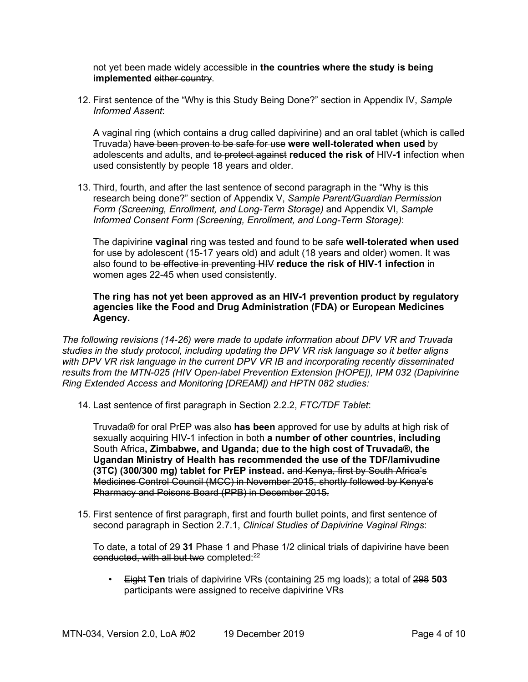not yet been made widely accessible in **the countries where the study is being implemented** either country.

12. First sentence of the "Why is this Study Being Done?" section in Appendix IV, *Sample Informed Assent*:

A vaginal ring (which contains a drug called dapivirine) and an oral tablet (which is called Truvada) have been proven to be safe for use **were well-tolerated when used** by adolescents and adults, and to protect against **reduced the risk of** HIV**-1** infection when used consistently by people 18 years and older.

13. Third, fourth, and after the last sentence of second paragraph in the "Why is this research being done?" section of Appendix V, *Sample Parent/Guardian Permission Form (Screening, Enrollment, and Long-Term Storage)* and Appendix VI, *Sample Informed Consent Form (Screening, Enrollment, and Long-Term Storage)*:

The dapivirine **vaginal** ring was tested and found to be safe **well-tolerated when used** for use by adolescent (15-17 years old) and adult (18 years and older) women. It was also found to be effective in preventing HIV **reduce the risk of HIV-1 infection** in women ages 22-45 when used consistently.

# **The ring has not yet been approved as an HIV-1 prevention product by regulatory agencies like the Food and Drug Administration (FDA) or European Medicines Agency.**

*The following revisions (14-26) were made to update information about DPV VR and Truvada studies in the study protocol, including updating the DPV VR risk language so it better aligns with DPV VR risk language in the current DPV VR IB and incorporating recently disseminated results from the MTN-025 (HIV Open-label Prevention Extension [HOPE]), IPM 032 (Dapivirine Ring Extended Access and Monitoring [DREAM]) and HPTN 082 studies:* 

14. Last sentence of first paragraph in Section 2.2.2, *FTC/TDF Tablet*:

Truvada® for oral PrEP was also **has been** approved for use by adults at high risk of sexually acquiring HIV-1 infection in both **a number of other countries, including** South Africa**, Zimbabwe, and Uganda; due to the high cost of Truvada®, the Ugandan Ministry of Health has recommended the use of the TDF/lamivudine (3TC) (300/300 mg) tablet for PrEP instead.** and Kenya, first by South Africa's Medicines Control Council (MCC) in November 2015, shortly followed by Kenya's Pharmacy and Poisons Board (PPB) in December 2015.

15. First sentence of first paragraph, first and fourth bullet points, and first sentence of second paragraph in Section 2.7.1, *Clinical Studies of Dapivirine Vaginal Rings*:

To date, a total of 29 **31** Phase 1 and Phase 1/2 clinical trials of dapivirine have been conducted, with all but two completed:22

• Eight **Ten** trials of dapivirine VRs (containing 25 mg loads); a total of 298 **503** participants were assigned to receive dapivirine VRs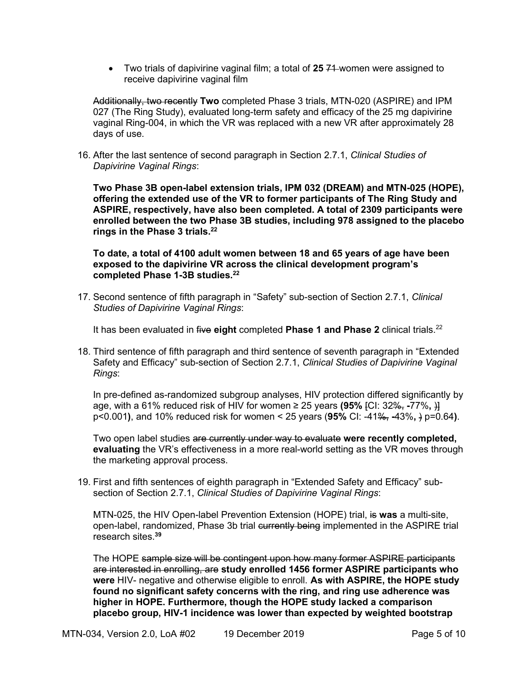• Two trials of dapivirine vaginal film; a total of 25 74-women were assigned to receive dapivirine vaginal film

Additionally, two recently **Two** completed Phase 3 trials, MTN-020 (ASPIRE) and IPM 027 (The Ring Study), evaluated long-term safety and efficacy of the 25 mg dapivirine vaginal Ring-004, in which the VR was replaced with a new VR after approximately 28 days of use.

16. After the last sentence of second paragraph in Section 2.7.1, *Clinical Studies of Dapivirine Vaginal Rings*:

**Two Phase 3B open-label extension trials, IPM 032 (DREAM) and MTN-025 (HOPE), offering the extended use of the VR to former participants of The Ring Study and ASPIRE, respectively, have also been completed. A total of 2309 participants were enrolled between the two Phase 3B studies, including 978 assigned to the placebo rings in the Phase 3 trials. 22** 

**To date, a total of 4100 adult women between 18 and 65 years of age have been exposed to the dapivirine VR across the clinical development program's completed Phase 1-3B studies.22**

17. Second sentence of fifth paragraph in "Safety" sub-section of Section 2.7.1, *Clinical Studies of Dapivirine Vaginal Rings*:

It has been evaluated in five eight completed **Phase 1 and Phase 2** clinical trials.<sup>22</sup>

18. Third sentence of fifth paragraph and third sentence of seventh paragraph in "Extended Safety and Efficacy" sub-section of Section 2.7.1, *Clinical Studies of Dapivirine Vaginal Rings*:

In pre-defined as-randomized subgroup analyses, HIV protection differed significantly by age, with a 61% reduced risk of HIV for women ≥ 25 years **(95%** [CI: 32%, **-**77%**,** )] p<0.001**)**, and 10% reduced risk for women < 25 years (**95%** CI: -41%, **-**43%**,** ) p=0.64**)**.

Two open label studies are currently under way to evaluate **were recently completed, evaluating** the VR's effectiveness in a more real-world setting as the VR moves through the marketing approval process.

19. First and fifth sentences of eighth paragraph in "Extended Safety and Efficacy" subsection of Section 2.7.1, *Clinical Studies of Dapivirine Vaginal Rings*:

MTN-025, the HIV Open-label Prevention Extension (HOPE) trial, is **was** a multi-site, open-label, randomized, Phase 3b trial currently being implemented in the ASPIRE trial research sites.**<sup>39</sup>**

The HOPE sample size will be contingent upon how many former ASPIRE participants are interested in enrolling, are **study enrolled 1456 former ASPIRE participants who**  were HIV- negative and otherwise eligible to enroll. As with ASPIRE, the HOPE study **found no significant safety concerns with the ring, and ring use adherence was higher in HOPE. Furthermore, though the HOPE study lacked a comparison placebo group, HIV-1 incidence was lower than expected by weighted bootstrap**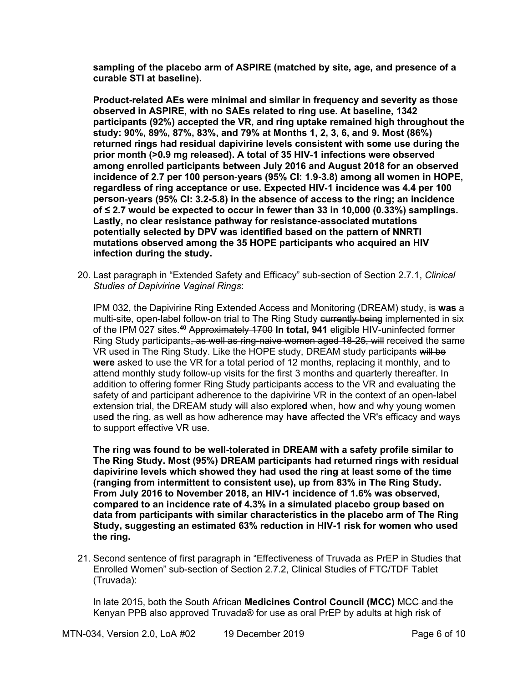**sampling of the placebo arm of ASPIRE (matched by site, age, and presence of a curable STI at baseline).** 

**Product-related AEs were minimal and similar in frequency and severity as those observed in ASPIRE, with no SAEs related to ring use. At baseline, 1342 participants (92%) accepted the VR, and ring uptake remained high throughout the study: 90%, 89%, 87%, 83%, and 79% at Months 1, 2, 3, 6, and 9. Most (86%) returned rings had residual dapivirine levels consistent with some use during the prior month (>0.9 mg released). A total of 35 HIV**‐**1 infections were observed among enrolled participants between July 2016 and August 2018 for an observed incidence of 2.7 per 100 person**‐**years (95% CI: 1.9-3.8) among all women in HOPE, regardless of ring acceptance or use. Expected HIV**‐**1 incidence was 4.4 per 100 person**‐**years (95% CI: 3.2-5.8) in the absence of access to the ring; an incidence of ≤ 2.7 would be expected to occur in fewer than 33 in 10,000 (0.33%) samplings. Lastly, no clear resistance pathway for resistance-associated mutations potentially selected by DPV was identified based on the pattern of NNRTI mutations observed among the 35 HOPE participants who acquired an HIV infection during the study.**

20. Last paragraph in "Extended Safety and Efficacy" sub-section of Section 2.7.1, *Clinical Studies of Dapivirine Vaginal Rings*:

IPM 032, the Dapivirine Ring Extended Access and Monitoring (DREAM) study, is **was** a multi-site, open-label follow-on trial to The Ring Study currently being implemented in six of the IPM 027 sites.**<sup>40</sup>** Approximately 1700 **In total, 941** eligible HIV-uninfected former Ring Study participants, as well as ring-naive women aged 18-25, will receive**d** the same VR used in The Ring Study. Like the HOPE study, DREAM study participants will be **were** asked to use the VR for a total period of 12 months, replacing it monthly, and to attend monthly study follow-up visits for the first 3 months and quarterly thereafter. In addition to offering former Ring Study participants access to the VR and evaluating the safety of and participant adherence to the dapivirine VR in the context of an open-label extension trial, the DREAM study will also explore**d** when, how and why young women use**d** the ring, as well as how adherence may **have** affect**ed** the VR's efficacy and ways to support effective VR use.

**The ring was found to be well-tolerated in DREAM with a safety profile similar to The Ring Study. Most (95%) DREAM participants had returned rings with residual dapivirine levels which showed they had used the ring at least some of the time (ranging from intermittent to consistent use), up from 83% in The Ring Study. From July 2016 to November 2018, an HIV-1 incidence of 1.6% was observed, compared to an incidence rate of 4.3% in a simulated placebo group based on data from participants with similar characteristics in the placebo arm of The Ring Study, suggesting an estimated 63% reduction in HIV-1 risk for women who used the ring.**

21. Second sentence of first paragraph in "Effectiveness of Truvada as PrEP in Studies that Enrolled Women" sub-section of Section 2.7.2, Clinical Studies of FTC/TDF Tablet (Truvada):

In late 2015, both the South African **Medicines Control Council (MCC)** MCC and the Kenyan PPB also approved Truvada® for use as oral PrEP by adults at high risk of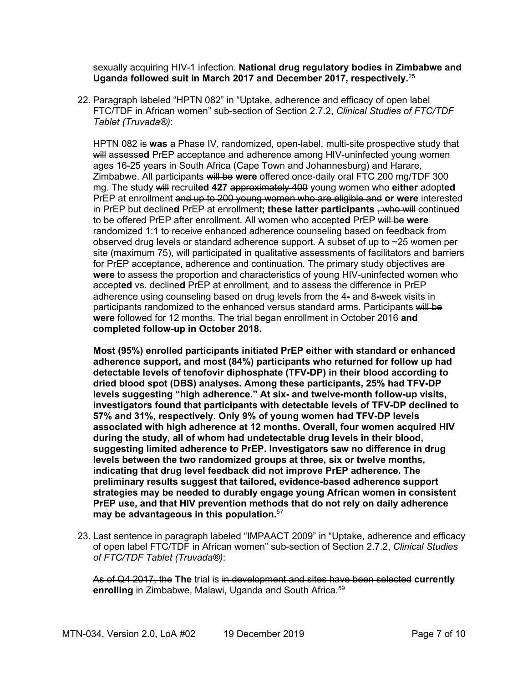sexually acquiring HIV-1 infection. **National drug regulatory bodies in Zimbabwe and Uganda followed suit in March 2017 and December 2017, respectively.** 25

22. Paragraph labeled "HPTN 082" in "Uptake, adherence and efficacy of open label FTC/TDF in African women" sub-section of Section 2.7.2, *Clinical Studies of FTC/TDF Tablet (Truvada®)*:

HPTN 082 is **was** a Phase IV, randomized, open-label, multi-site prospective study that will assess**ed** PrEP acceptance and adherence among HIV-uninfected young women ages 16-25 years in South Africa (Cape Town and Johannesburg) and Harare, Zimbabwe. All participants will be **were** offered once-daily oral FTC 200 mg/TDF 300 mg. The study will recruit**ed 427** approximately 400 young women who **either** adopt**ed** PrEP at enrollment and up to 200 young women who are eligible and **or were** interested in PrEP but decline**d** PrEP at enrollment**; these latter participants** , who will continue**d** to be offered PrEP after enrollment. All women who accept**ed** PrEP will be **were** randomized 1:1 to receive enhanced adherence counseling based on feedback from observed drug levels or standard adherence support. A subset of up to ~25 women per site (maximum 75), will participate**d** in qualitative assessments of facilitators and barriers for PrEP acceptance, adherence and continuation. The primary study objectives are **were** to assess the proportion and characteristics of young HIV-uninfected women who accept**ed** vs. decline**d** PrEP at enrollment, and to assess the difference in PrEP adherence using counseling based on drug levels from the 4**-** and 8**-**week visits in participants randomized to the enhanced versus standard arms. Participants will be **were** followed for 12 months. The trial began enrollment in October 2016 **and completed follow-up in October 2018.** 

**Most (95%) enrolled participants initiated PrEP either with standard or enhanced adherence support, and most (84%) participants who returned for follow up had detectable levels of tenofovir diphosphate (TFV-DP) in their blood according to dried blood spot (DBS) analyses. Among these participants, 25% had TFV-DP levels suggesting "high adherence." At six- and twelve-month follow-up visits, investigators found that participants with detectable levels of TFV-DP declined to 57% and 31%, respectively. Only 9% of young women had TFV-DP levels associated with high adherence at 12 months. Overall, four women acquired HIV during the study, all of whom had undetectable drug levels in their blood, suggesting limited adherence to PrEP. Investigators saw no difference in drug levels between the two randomized groups at three, six or twelve months, indicating that drug level feedback did not improve PrEP adherence. The preliminary results suggest that tailored, evidence-based adherence support strategies may be needed to durably engage young African women in consistent PrEP use, and that HIV prevention methods that do not rely on daily adherence may be advantageous in this population.** 57

23. Last sentence in paragraph labeled "IMPAACT 2009" in "Uptake, adherence and efficacy of open label FTC/TDF in African women" sub-section of Section 2.7.2, *Clinical Studies of FTC/TDF Tablet (Truvada®)*:

As of Q4 2017, the **The** trial is in development and sites have been selected **currently**  enrolling in Zimbabwe, Malawi, Uganda and South Africa.<sup>59</sup>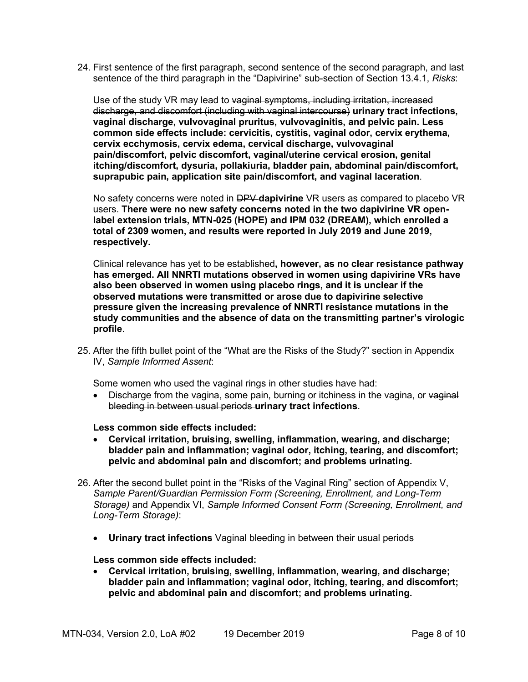24. First sentence of the first paragraph, second sentence of the second paragraph, and last sentence of the third paragraph in the "Dapivirine" sub-section of Section 13.4.1, *Risks*:

Use of the study VR may lead to vaginal symptoms, including irritation, increased discharge, and discomfort (including with vaginal intercourse) **urinary tract infections, vaginal discharge, vulvovaginal pruritus, vulvovaginitis, and pelvic pain. Less common side effects include: cervicitis, cystitis, vaginal odor, cervix erythema, cervix ecchymosis, cervix edema, cervical discharge, vulvovaginal pain/discomfort, pelvic discomfort, vaginal/uterine cervical erosion, genital itching/discomfort, dysuria, pollakiuria, bladder pain, abdominal pain/discomfort, suprapubic pain, application site pain/discomfort, and vaginal laceration**.

No safety concerns were noted in DPV **dapivirine** VR users as compared to placebo VR users. **There were no new safety concerns noted in the two dapivirine VR openlabel extension trials, MTN-025 (HOPE) and IPM 032 (DREAM), which enrolled a total of 2309 women, and results were reported in July 2019 and June 2019, respectively.**

Clinical relevance has yet to be established**, however, as no clear resistance pathway has emerged. All NNRTI mutations observed in women using dapivirine VRs have also been observed in women using placebo rings, and it is unclear if the observed mutations were transmitted or arose due to dapivirine selective pressure given the increasing prevalence of NNRTI resistance mutations in the study communities and the absence of data on the transmitting partner's virologic profile**.

25. After the fifth bullet point of the "What are the Risks of the Study?" section in Appendix IV, *Sample Informed Assent*:

Some women who used the vaginal rings in other studies have had:

• Discharge from the vagina, some pain, burning or itchiness in the vagina, or vaginal bleeding in between usual periods **urinary tract infections**.

# **Less common side effects included:**

- **Cervical irritation, bruising, swelling, inflammation, wearing, and discharge; bladder pain and inflammation; vaginal odor, itching, tearing, and discomfort; pelvic and abdominal pain and discomfort; and problems urinating.**
- 26. After the second bullet point in the "Risks of the Vaginal Ring" section of Appendix V, *Sample Parent/Guardian Permission Form (Screening, Enrollment, and Long-Term Storage)* and Appendix VI, *Sample Informed Consent Form (Screening, Enrollment, and Long-Term Storage)*:
	- **Urinary tract infections** Vaginal bleeding in between their usual periods

### **Less common side effects included:**

• **Cervical irritation, bruising, swelling, inflammation, wearing, and discharge; bladder pain and inflammation; vaginal odor, itching, tearing, and discomfort; pelvic and abdominal pain and discomfort; and problems urinating.**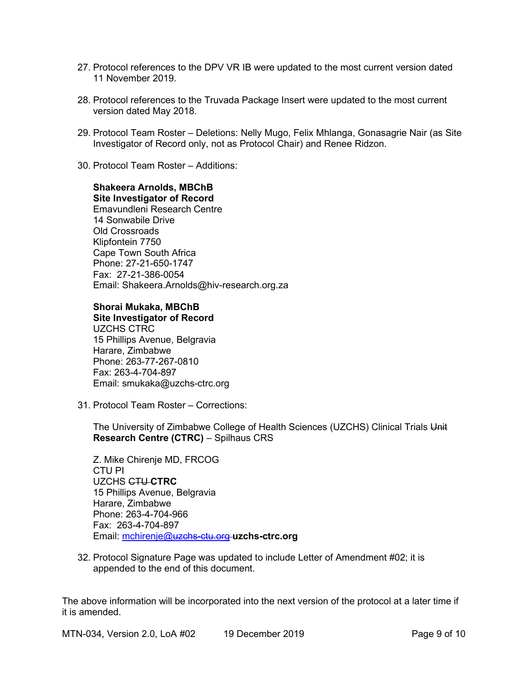- 27. Protocol references to the DPV VR IB were updated to the most current version dated 11 November 2019.
- 28. Protocol references to the Truvada Package Insert were updated to the most current version dated May 2018.
- 29. Protocol Team Roster Deletions: Nelly Mugo, Felix Mhlanga, Gonasagrie Nair (as Site Investigator of Record only, not as Protocol Chair) and Renee Ridzon.
- 30. Protocol Team Roster Additions:

# **Shakeera Arnolds, MBChB Site Investigator of Record** Emavundleni Research Centre 14 Sonwabile Drive Old Crossroads Klipfontein 7750 Cape Town South Africa Phone: 27-21-650-1747 Fax: 27-21-386-0054 Email: Shakeera.Arnolds@hiv-research.org.za

**Shorai Mukaka, MBChB** 

**Site Investigator of Record** UZCHS CTRC 15 Phillips Avenue, Belgravia Harare, Zimbabwe Phone: 263-77-267-0810 Fax: 263-4-704-897 Email: smukaka@uzchs-ctrc.org

31. Protocol Team Roster – Corrections:

The University of Zimbabwe College of Health Sciences (UZCHS) Clinical Trials Unit **Research Centre (CTRC)** – Spilhaus CRS

Z. Mike Chirenje MD, FRCOG CTU PI UZCHS CTU **CTRC** 15 Phillips Avenue, Belgravia Harare, Zimbabwe Phone: 263-4-704-966 Fax: 263-4-704-897 Email: mchirenje@uzchs-ctu.org **uzchs-ctrc.org**

32. Protocol Signature Page was updated to include Letter of Amendment #02; it is appended to the end of this document.

The above information will be incorporated into the next version of the protocol at a later time if it is amended.